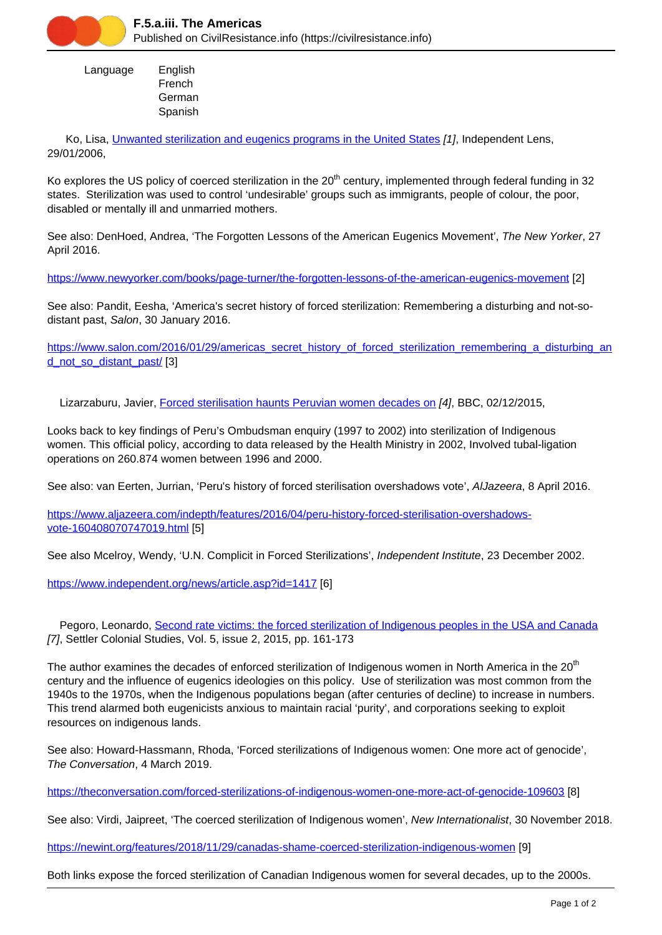

 Language English French **German** Spanish

Ko, Lisa, [Unwanted sterilization and eugenics programs in the United States](https://civilresistance.info/biblio-item/2016/unwanted-sterilization-and-eugenics-programs-united-states) [1], Independent Lens, 29/01/2006,

Ko explores the US policy of coerced sterilization in the 20<sup>th</sup> century, implemented through federal funding in 32 states. Sterilization was used to control 'undesirable' groups such as immigrants, people of colour, the poor, disabled or mentally ill and unmarried mothers.

See also: DenHoed, Andrea, 'The Forgotten Lessons of the American Eugenics Movement', The New Yorker, 27 April 2016.

<https://www.newyorker.com/books/page-turner/the-forgotten-lessons-of-the-american-eugenics-movement> [2]

See also: Pandit, Eesha, 'America's secret history of forced sterilization: Remembering a disturbing and not-sodistant past, Salon, 30 January 2016.

[https://www.salon.com/2016/01/29/americas\\_secret\\_history\\_of\\_forced\\_sterilization\\_remembering\\_a\\_disturbing\\_an](https://www.salon.com/2016/01/29/americas_secret_history_of_forced_sterilization_remembering_a_disturbing_and_not_so_distant_past/) [d\\_not\\_so\\_distant\\_past/](https://www.salon.com/2016/01/29/americas_secret_history_of_forced_sterilization_remembering_a_disturbing_and_not_so_distant_past/) [3]

Lizarzaburu, Javier, [Forced sterilisation haunts Peruvian women decades on](https://civilresistance.info/biblio-item/2015/forced-sterilisation-haunts-peruvian-women-decades) [4], BBC, 02/12/2015,

Looks back to key findings of Peru's Ombudsman enquiry (1997 to 2002) into sterilization of Indigenous women. This official policy, according to data released by the Health Ministry in 2002, Involved tubal-ligation operations on 260.874 women between 1996 and 2000.

See also: van Eerten, Jurrian, 'Peru's history of forced sterilisation overshadows vote', AlJazeera, 8 April 2016.

[https://www.aljazeera.com/indepth/features/2016/04/peru-history-forced-sterilisation-overshadows](https://www.aljazeera.com/indepth/features/2016/04/peru-history-forced-sterilisation-overshadows-vote-160408070747019.html)[vote-160408070747019.html](https://www.aljazeera.com/indepth/features/2016/04/peru-history-forced-sterilisation-overshadows-vote-160408070747019.html) [5]

See also Mcelroy, Wendy, 'U.N. Complicit in Forced Sterilizations', Independent Institute, 23 December 2002.

<https://www.independent.org/news/article.asp?id=1417> [6]

Pegoro, Leonardo, [Second rate victims: the forced sterilization of Indigenous peoples in the USA and Canada](https://civilresistance.info/biblio-item/2015/second-rate-victims-forced-sterilization-indigenous-peoples-usa-and-canada) [7], Settler Colonial Studies, Vol. 5, issue 2, 2015, pp. 161-173

The author examines the decades of enforced sterilization of Indigenous women in North America in the 20<sup>th</sup> century and the influence of eugenics ideologies on this policy. Use of sterilization was most common from the 1940s to the 1970s, when the Indigenous populations began (after centuries of decline) to increase in numbers. This trend alarmed both eugenicists anxious to maintain racial 'purity', and corporations seeking to exploit resources on indigenous lands.

See also: Howard-Hassmann, Rhoda, 'Forced sterilizations of Indigenous women: One more act of genocide', The Conversation, 4 March 2019.

<https://theconversation.com/forced-sterilizations-of-indigenous-women-one-more-act-of-genocide-109603> [8]

See also: Virdi, Jaipreet, 'The coerced sterilization of Indigenous women', New Internationalist, 30 November 2018.

<https://newint.org/features/2018/11/29/canadas-shame-coerced-sterilization-indigenous-women> [9]

Both links expose the forced sterilization of Canadian Indigenous women for several decades, up to the 2000s.